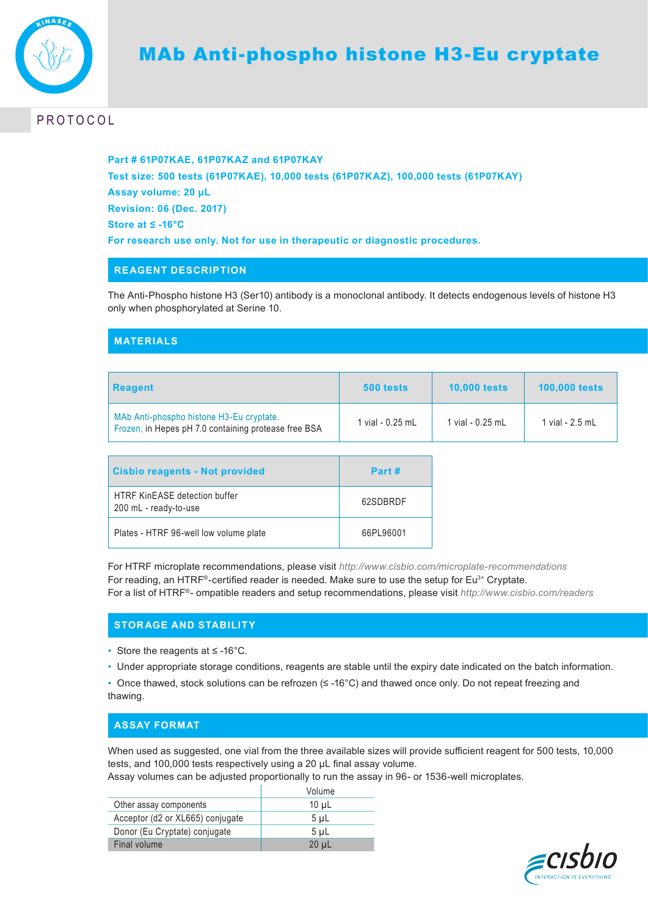

# **PROTOCOL**

**Part # 61P07KAE, 61P07KAZ and 61P07KAY Test size: 500 tests (61P07KAE), 10,000 tests (61P07KAZ), 100,000 tests (61P07KAY) Assay volume: 20 µL Revision: 06 (Dec. 2017) Store at ≤ -16°C For research use only. Not for use in therapeutic or diagnostic procedures.**

### **REAGENT DESCRIPTION**

The Anti-Phospho histone H3 (Ser10) antibody is a monoclonal antibody. It detects endogenous levels of histone H3 only when phosphorylated at Serine 10.

## **MATERIALS**

| <b>Reagent</b>                                                                                   | 500 tests        | <b>10,000 tests</b> | <b>100,000 tests</b> |
|--------------------------------------------------------------------------------------------------|------------------|---------------------|----------------------|
| MAb Anti-phospho histone H3-Eu cryptate.<br>Frozen, in Hepes pH 7.0 containing protease free BSA | 1 vial - 0.25 mL | 1 vial - 0.25 mL    | 1 vial - 2.5 ml      |

| Cisbio reagents - Not provided                                | Part #    |
|---------------------------------------------------------------|-----------|
| <b>HTRF KinEASE detection buffer</b><br>200 mL - ready-to-use | 62SDBRDF  |
| Plates - HTRF 96-well low volume plate                        | 66PL96001 |

For HTRF microplate recommendations, please visit *http://www.cisbio.com/microplate-recommendations* For reading, an HTRF®-certified reader is needed. Make sure to use the setup for Eu<sup>3+</sup> Cryptate. For a list of HTRF®- ompatible readers and setup recommendations, please visit *http://www.cisbio.com/readers* 

## **STORAGE AND STABILITY**

- Store the reagents at ≤ -16°C.
- Under appropriate storage conditions, reagents are stable until the expiry date indicated on the batch information.

• Once thawed, stock solutions can be refrozen (≤ -16°C) and thawed once only. Do not repeat freezing and thawing.

### **ASSAY FORMAT**

When used as suggested, one vial from the three available sizes will provide sufficient reagent for 500 tests, 10,000 tests, and 100,000 tests respectively using a 20 μL final assay volume.

Assay volumes can be adjusted proportionally to run the assay in 96- or 1536-well microplates.

|                                  | Volume         |
|----------------------------------|----------------|
| Other assay components           | $10 \mu L$     |
| Acceptor (d2 or XL665) conjugate | $5 \mu L$      |
| Donor (Eu Cryptate) conjugate    | 5 <sub>µ</sub> |
| Final volume                     | $20 \mu L$     |